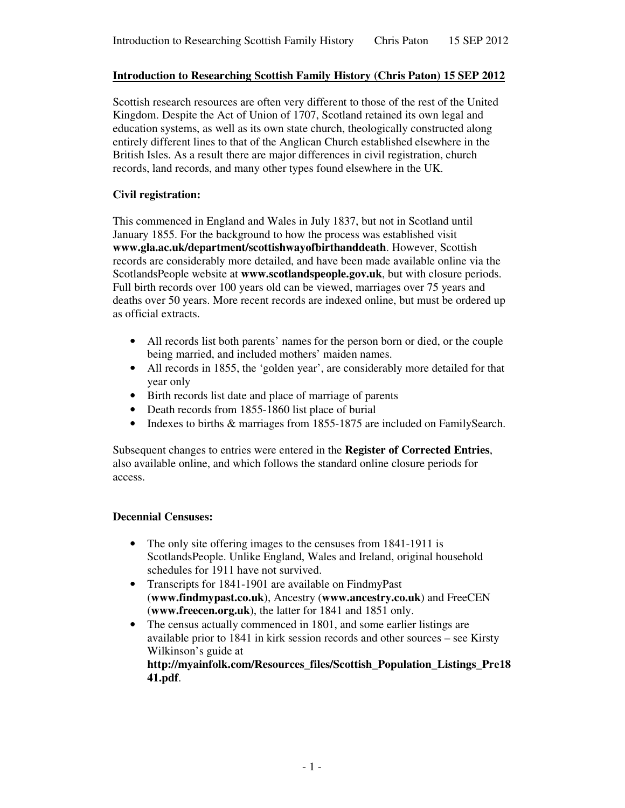# **Introduction to Researching Scottish Family History (Chris Paton) 15 SEP 2012**

Scottish research resources are often very different to those of the rest of the United Kingdom. Despite the Act of Union of 1707, Scotland retained its own legal and education systems, as well as its own state church, theologically constructed along entirely different lines to that of the Anglican Church established elsewhere in the British Isles. As a result there are major differences in civil registration, church records, land records, and many other types found elsewhere in the UK.

# **Civil registration:**

This commenced in England and Wales in July 1837, but not in Scotland until January 1855. For the background to how the process was established visit **www.gla.ac.uk/department/scottishwayofbirthanddeath**. However, Scottish records are considerably more detailed, and have been made available online via the ScotlandsPeople website at **www.scotlandspeople.gov.uk**, but with closure periods. Full birth records over 100 years old can be viewed, marriages over 75 years and deaths over 50 years. More recent records are indexed online, but must be ordered up as official extracts.

- All records list both parents' names for the person born or died, or the couple being married, and included mothers' maiden names.
- All records in 1855, the 'golden year', are considerably more detailed for that year only
- Birth records list date and place of marriage of parents
- Death records from 1855-1860 list place of burial
- Indexes to births & marriages from 1855-1875 are included on FamilySearch.

Subsequent changes to entries were entered in the **Register of Corrected Entries**, also available online, and which follows the standard online closure periods for access.

# **Decennial Censuses:**

- The only site offering images to the censuses from 1841-1911 is ScotlandsPeople. Unlike England, Wales and Ireland, original household schedules for 1911 have not survived.
- Transcripts for 1841-1901 are available on FindmyPast (**www.findmypast.co.uk**), Ancestry (**www.ancestry.co.uk**) and FreeCEN (**www.freecen.org.uk**), the latter for 1841 and 1851 only.
- The census actually commenced in 1801, and some earlier listings are available prior to 1841 in kirk session records and other sources – see Kirsty Wilkinson's guide at

**http://myainfolk.com/Resources\_files/Scottish\_Population\_Listings\_Pre18 41.pdf**.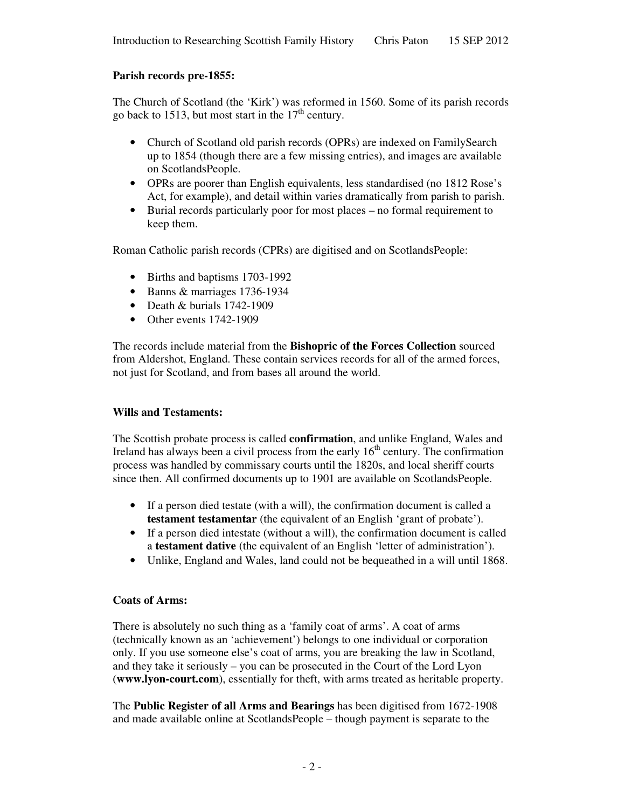# **Parish records pre-1855:**

The Church of Scotland (the 'Kirk') was reformed in 1560. Some of its parish records go back to 1513, but most start in the  $17<sup>th</sup>$  century.

- Church of Scotland old parish records (OPRs) are indexed on FamilySearch up to 1854 (though there are a few missing entries), and images are available on ScotlandsPeople.
- OPRs are poorer than English equivalents, less standardised (no 1812 Rose's Act, for example), and detail within varies dramatically from parish to parish.
- Burial records particularly poor for most places no formal requirement to keep them.

Roman Catholic parish records (CPRs) are digitised and on ScotlandsPeople:

- Births and baptisms 1703-1992
- Banns & marriages 1736-1934
- Death & burials 1742-1909
- Other events 1742-1909

The records include material from the **Bishopric of the Forces Collection** sourced from Aldershot, England. These contain services records for all of the armed forces, not just for Scotland, and from bases all around the world.

# **Wills and Testaments:**

The Scottish probate process is called **confirmation**, and unlike England, Wales and Ireland has always been a civil process from the early  $16<sup>th</sup>$  century. The confirmation process was handled by commissary courts until the 1820s, and local sheriff courts since then. All confirmed documents up to 1901 are available on ScotlandsPeople.

- If a person died testate (with a will), the confirmation document is called a **testament testamentar** (the equivalent of an English 'grant of probate').
- If a person died intestate (without a will), the confirmation document is called a **testament dative** (the equivalent of an English 'letter of administration').
- Unlike, England and Wales, land could not be bequeathed in a will until 1868.

# **Coats of Arms:**

There is absolutely no such thing as a 'family coat of arms'. A coat of arms (technically known as an 'achievement') belongs to one individual or corporation only. If you use someone else's coat of arms, you are breaking the law in Scotland, and they take it seriously – you can be prosecuted in the Court of the Lord Lyon (**www.lyon-court.com**), essentially for theft, with arms treated as heritable property.

The **Public Register of all Arms and Bearings** has been digitised from 1672-1908 and made available online at ScotlandsPeople – though payment is separate to the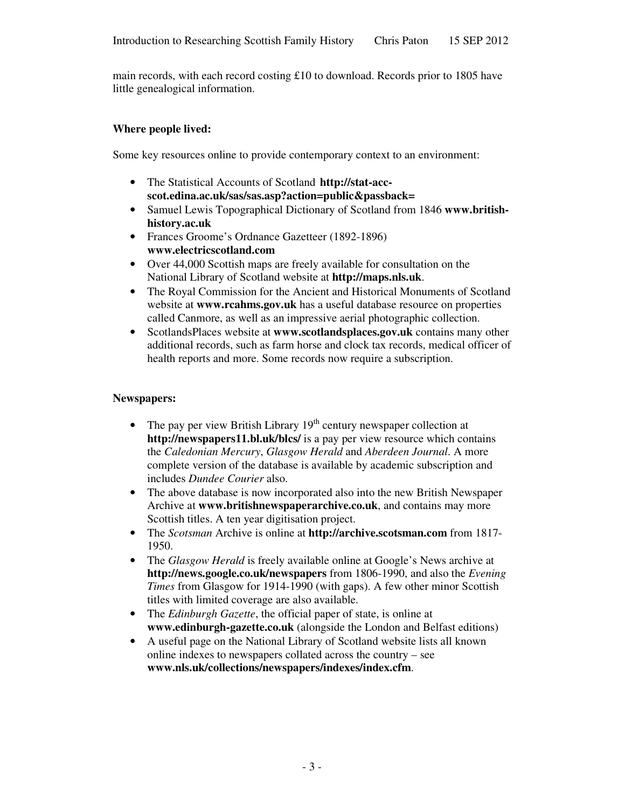main records, with each record costing £10 to download. Records prior to 1805 have little genealogical information.

### **Where people lived:**

Some key resources online to provide contemporary context to an environment:

- The Statistical Accounts of Scotland **http://stat-accscot.edina.ac.uk/sas/sas.asp?action=public&passback=**
- Samuel Lewis Topographical Dictionary of Scotland from 1846 **www.britishhistory.ac.uk**
- Frances Groome's Ordnance Gazetteer (1892-1896) **www.electricscotland.com**
- Over 44,000 Scottish maps are freely available for consultation on the National Library of Scotland website at **http://maps.nls.uk**.
- The Royal Commission for the Ancient and Historical Monuments of Scotland website at **www.rcahms.gov.uk** has a useful database resource on properties called Canmore, as well as an impressive aerial photographic collection.
- ScotlandsPlaces website at **www.scotlandsplaces.gov.uk** contains many other additional records, such as farm horse and clock tax records, medical officer of health reports and more. Some records now require a subscription.

### **Newspapers:**

- The pay per view British Library  $19<sup>th</sup>$  century newspaper collection at **http://newspapers11.bl.uk/blcs/** is a pay per view resource which contains the *Caledonian Mercury*, *Glasgow Herald* and *Aberdeen Journal*. A more complete version of the database is available by academic subscription and includes *Dundee Courier* also.
- The above database is now incorporated also into the new British Newspaper Archive at **www.britishnewspaperarchive.co.uk**, and contains may more Scottish titles. A ten year digitisation project.
- The *Scotsman* Archive is online at **http://archive.scotsman.com** from 1817- 1950.
- The *Glasgow Herald* is freely available online at *Google's* News archive at **http://news.google.co.uk/newspapers** from 1806-1990, and also the *Evening Times* from Glasgow for 1914-1990 (with gaps). A few other minor Scottish titles with limited coverage are also available.
- The *Edinburgh Gazette*, the official paper of state, is online at **www.edinburgh-gazette.co.uk** (alongside the London and Belfast editions)
- A useful page on the National Library of Scotland website lists all known online indexes to newspapers collated across the country – see **www.nls.uk/collections/newspapers/indexes/index.cfm**.